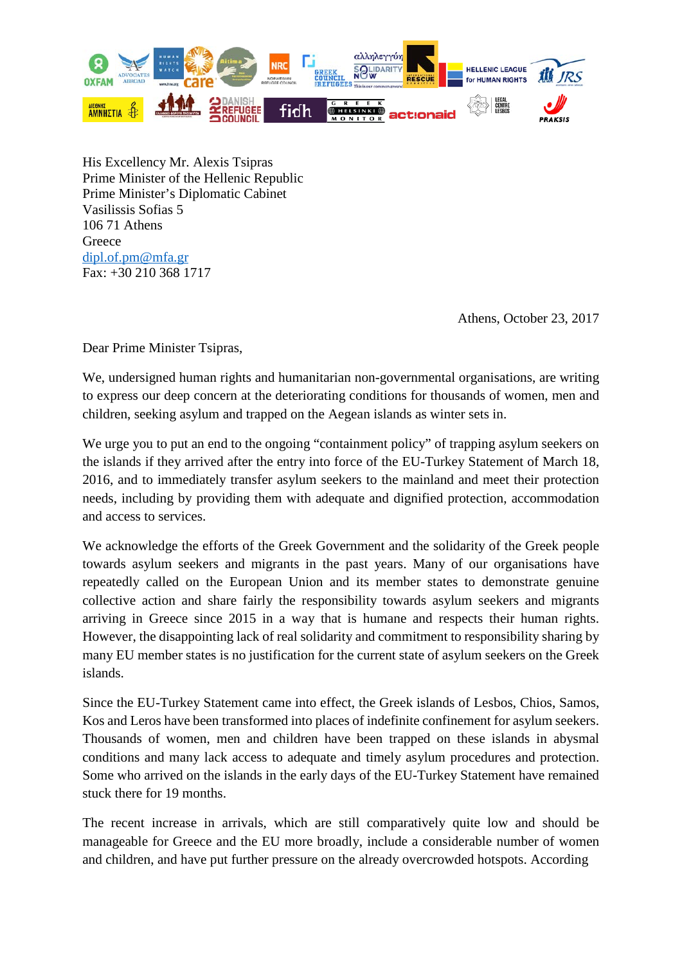

His Excellency Mr. Alexis Tsipras Prime Minister of the Hellenic Republic Prime Minister's Diplomatic Cabinet Vasilissis Sofias 5 106 71 Athens **Greece** [dipl.of.pm@mfa.gr](mailto:dipl.of.pm@mfa.gr) Fax: +30 210 368 1717

Athens, October 23, 2017

Dear Prime Minister Tsipras,

We, undersigned human rights and humanitarian non-governmental organisations, are writing to express our deep concern at the deteriorating conditions for thousands of women, men and children, seeking asylum and trapped on the Aegean islands as winter sets in.

We urge you to put an end to the ongoing "containment policy" of trapping asylum seekers on the islands if they arrived after the entry into force of the EU-Turkey Statement of March 18, 2016, and to immediately transfer asylum seekers to the mainland and meet their protection needs, including by providing them with adequate and dignified protection, accommodation and access to services.

We acknowledge the efforts of the Greek Government and the solidarity of the Greek people towards asylum seekers and migrants in the past years. Many of our organisations have repeatedly called on the European Union and its member states to demonstrate genuine collective action and share fairly the responsibility towards asylum seekers and migrants arriving in Greece since 2015 in a way that is humane and respects their human rights. However, the disappointing lack of real solidarity and commitment to responsibility sharing by many EU member states is no justification for the current state of asylum seekers on the Greek islands.

Since the EU-Turkey Statement came into effect, the Greek islands of Lesbos, Chios, Samos, Kos and Leros have been transformed into places of indefinite confinement for asylum seekers. Thousands of women, men and children have been trapped on these islands in abysmal conditions and many lack access to adequate and timely asylum procedures and protection. Some who arrived on the islands in the early days of the EU-Turkey Statement have remained stuck there for 19 months.

The recent increase in arrivals, which are still comparatively quite low and should be manageable for Greece and the EU more broadly, include a considerable number of women and children, and have put further pressure on the already overcrowded hotspots. According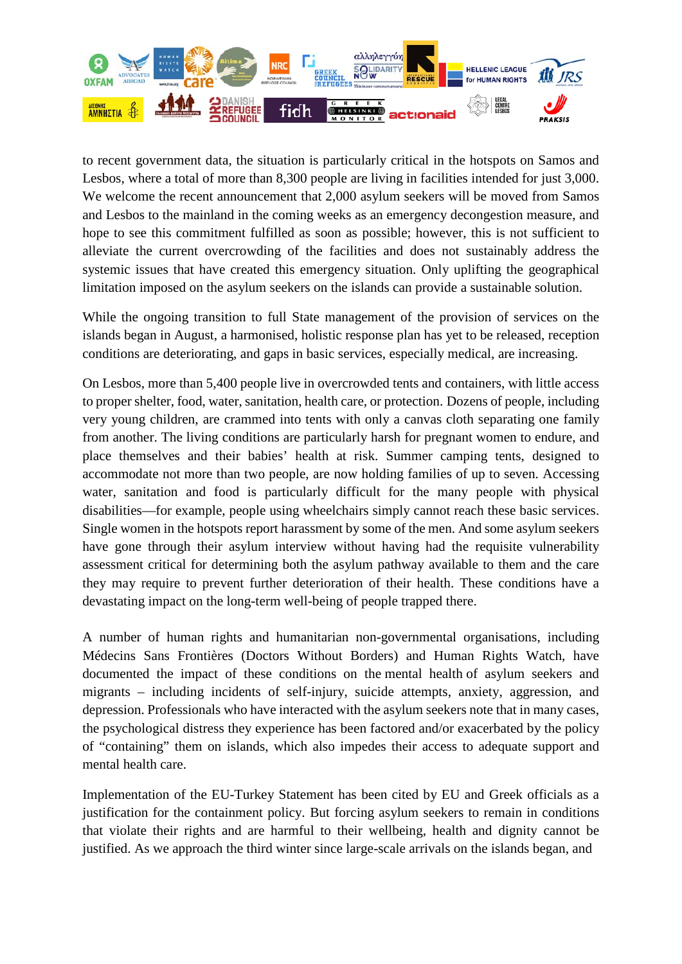

to recent government data, the situation is particularly critical in the hotspots on Samos and Lesbos, where a total of more than 8,300 people are living in facilities intended for just 3,000. We welcome the recent announcement that 2,000 asylum seekers will be moved from Samos and Lesbos to the mainland in the coming weeks as an emergency decongestion measure, and hope to see this commitment fulfilled as soon as possible; however, this is not sufficient to alleviate the current overcrowding of the facilities and does not sustainably address the systemic issues that have created this emergency situation. Only uplifting the geographical limitation imposed on the asylum seekers on the islands can provide a sustainable solution.

While the ongoing transition to full State management of the provision of services on the islands began in August, a harmonised, holistic response plan has yet to be released, reception conditions are deteriorating, and gaps in basic services, especially medical, are increasing.

On Lesbos, more than 5,400 people live in overcrowded tents and containers, with little access to proper shelter, food, water, sanitation, health care, or protection. Dozens of people, including very young children, are crammed into tents with only a canvas cloth separating one family from another. The living conditions are particularly harsh for pregnant women to endure, and place themselves and their babies' health at risk. Summer camping tents, designed to accommodate not more than two people, are now holding families of up to seven. Accessing water, sanitation and food is particularly difficult for the many people with physical disabilities—for example, people using wheelchairs simply cannot reach these basic services. Single women in the hotspots report harassment by some of the men. And some asylum seekers have gone through their asylum interview without having had the requisite vulnerability assessment critical for determining both the asylum pathway available to them and the care they may require to prevent further deterioration of their health. These conditions have a devastating impact on the long-term well-being of people trapped there.

A number of human rights and humanitarian non-governmental organisations, including Médecins Sans Frontières (Doctors Without Borders) and Human Rights Watch, have documented the impact of these conditions on the mental health of asylum seekers and migrants – including incidents of self-injury, suicide attempts, anxiety, aggression, and depression. Professionals who have interacted with the asylum seekers note that in many cases, the psychological distress they experience has been factored and/or exacerbated by the policy of "containing" them on islands, which also impedes their access to adequate support and mental health care.

Implementation of the EU-Turkey Statement has been cited by EU and Greek officials as a justification for the containment policy. But forcing asylum seekers to remain in conditions that violate their rights and are harmful to their wellbeing, health and dignity cannot be justified. As we approach the third winter since large-scale arrivals on the islands began, and